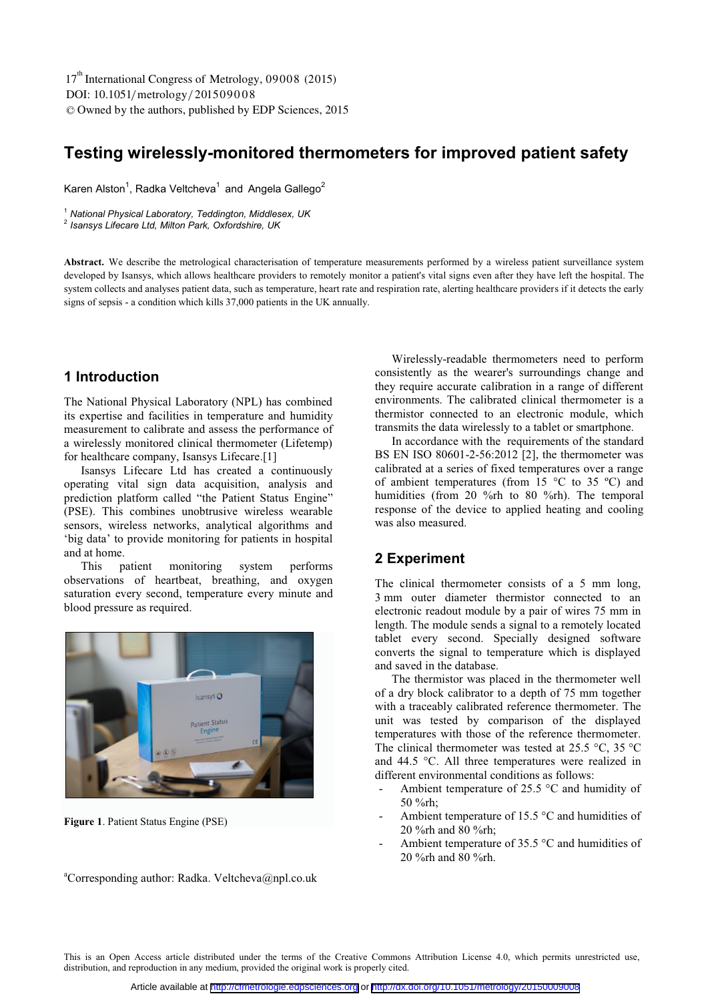DOI: 10.1051/metrology/201509008 -<sup>C</sup> Owned by the authors, published by EDP Sciences, 2015 17<sup>th</sup> International Congress of Metrology, 09008 (2015)

# **Testing wirelessly-monitored thermometers for improved patient safety**

Karen Alston<sup>1</sup>, Radka Veltcheva<sup>1</sup> and Angela Gallego<sup>2</sup>

<sup>1</sup> *National Physical Laboratory, Teddington, Middlesex, UK*

<sup>2</sup> *Isansys Lifecare Ltd, Milton Park, Oxfordshire, UK* 

**Abstract.** We describe the metrological characterisation of temperature measurements performed by a wireless patient surveillance system developed by Isansys, which allows healthcare providers to remotely monitor a patient's vital signs even after they have left the hospital. The system collects and analyses patient data, such as temperature, heart rate and respiration rate, alerting healthcare providers if it detects the early signs of sepsis - a condition which kills 37,000 patients in the UK annually.

#### **1 Introduction**

The National Physical Laboratory (NPL) has combined its expertise and facilities in temperature and humidity measurement to calibrate and assess the performance of a wirelessly monitored clinical thermometer (Lifetemp) for healthcare company, Isansys Lifecare.[1]

Isansys Lifecare Ltd has created a continuously operating vital sign data acquisition, analysis and prediction platform called "the Patient Status Engine" (PSE). This combines unobtrusive wireless wearable sensors, wireless networks, analytical algorithms and 'big data' to provide monitoring for patients in hospital and at home.<br>This p

patient monitoring system performs observations of heartbeat, breathing, and oxygen saturation every second, temperature every minute and blood pressure as required.



**Figure 1**. Patient Status Engine (PSE)

Wirelessly-readable thermometers need to perform consistently as the wearer's surroundings change and they require accurate calibration in a range of different environments. The calibrated clinical thermometer is a thermistor connected to an electronic module, which transmits the data wirelessly to a tablet or smartphone.

In accordance with the requirements of the standard BS EN ISO 80601-2-56:2012 [2], the thermometer was calibrated at a series of fixed temperatures over a range of ambient temperatures (from 15  $\degree$ C to 35  $\degree$ C) and humidities (from 20 %rh to 80 %rh). The temporal response of the device to applied heating and cooling was also measured.

#### **2 Experiment**

The clinical thermometer consists of a 5 mm long, 3 mm outer diameter thermistor connected to an electronic readout module by a pair of wires 75 mm in length. The module sends a signal to a remotely located tablet every second. Specially designed software converts the signal to temperature which is displayed and saved in the database.

The thermistor was placed in the thermometer well of a dry block calibrator to a depth of 75 mm together with a traceably calibrated reference thermometer. The unit was tested by comparison of the displayed temperatures with those of the reference thermometer. The clinical thermometer was tested at 25.5  $\degree$ C, 35  $\degree$ C and 44.5 °C. All three temperatures were realized in different environmental conditions as follows:

- Ambient temperature of 25.5  $\degree$ C and humidity of 50 %rh;
- Ambient temperature of 15.5  $\degree$ C and humidities of 20 %rh and 80 %rh;
- Ambient temperature of 35.5 °C and humidities of 20 %rh and 80 %rh.

aCorresponding author: Radka. Veltcheva@npl.co.uk

This is an Open Access article distributed under the terms of the Creative Commons Attribution License 4.0, which permits unrestricted use, distribution, and reproduction in any medium, provided the original work is properly cited.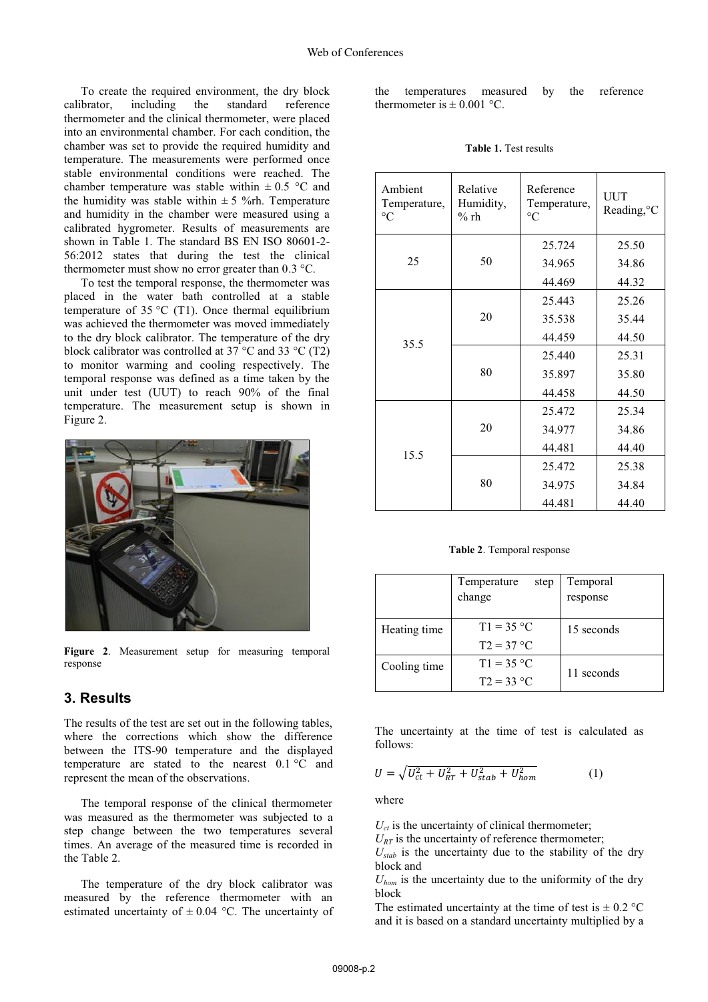To create the required environment, the dry block calibrator, including the standard reference thermometer and the clinical thermometer, were placed into an environmental chamber. For each condition, the chamber was set to provide the required humidity and temperature. The measurements were performed once stable environmental conditions were reached. The chamber temperature was stable within  $\pm 0.5$  °C and the humidity was stable within  $\pm$  5 %rh. Temperature and humidity in the chamber were measured using a calibrated hygrometer. Results of measurements are shown in Table 1. The standard BS EN ISO 80601-2- 56:2012 states that during the test the clinical thermometer must show no error greater than 0.3 °C.

To test the temporal response, the thermometer was placed in the water bath controlled at a stable temperature of  $35^{\circ}$ C (T1). Once thermal equilibrium was achieved the thermometer was moved immediately to the dry block calibrator. The temperature of the dry block calibrator was controlled at 37  $\rm{^{\circ}C}$  and 33  $\rm{^{\circ}C}$  (T2) to monitor warming and cooling respectively. The temporal response was defined as a time taken by the unit under test (UUT) to reach 90% of the final temperature. The measurement setup is shown in Figure 2.



**Figure 2**. Measurement setup for measuring temporal response

#### **3. Results**

The results of the test are set out in the following tables, where the corrections which show the difference between the ITS-90 temperature and the displayed temperature are stated to the nearest 0.1 °C and represent the mean of the observations.

The temporal response of the clinical thermometer was measured as the thermometer was subjected to a step change between the two temperatures several times. An average of the measured time is recorded in the Table 2.

The temperature of the dry block calibrator was measured by the reference thermometer with an estimated uncertainty of  $\pm$  0.04 °C. The uncertainty of the temperatures measured by the reference thermometer is  $\pm$  0.001 °C.

| <b>Table 1.</b> Test results |  |
|------------------------------|--|
|------------------------------|--|

| Ambient<br>Temperature,<br>$\rm ^{\circ}C$ | Relative<br>Humidity,<br>$%$ rh | Reference<br>Temperature,<br>$\rm ^{\circ}C$ | <b>UUT</b><br>Reading, °C |
|--------------------------------------------|---------------------------------|----------------------------------------------|---------------------------|
| 25<br>50                                   | 25.724                          | 25.50                                        |                           |
|                                            |                                 | 34.965                                       | 34.86                     |
|                                            |                                 | 44.469                                       | 44.32                     |
|                                            | 20                              | 25.443                                       | 25.26                     |
|                                            |                                 | 35.538                                       | 35.44                     |
| 35.5                                       |                                 | 44.459                                       | 44.50                     |
|                                            | 80                              | 25.440                                       | 25.31                     |
|                                            |                                 | 35.897                                       | 35.80                     |
|                                            |                                 | 44.458                                       | 44.50                     |
|                                            | 20                              | 25.472                                       | 25.34                     |
| 15.5                                       |                                 | 34.977                                       | 34.86                     |
|                                            |                                 | 44.481                                       | 44.40                     |
|                                            | 80                              | 25.472                                       | 25.38                     |
|                                            |                                 | 34.975                                       | 34.84                     |
|                                            |                                 | 44.481                                       | 44.40                     |

**Table 2**. Temporal response

|              | Temperature<br>step<br>change | Temporal<br>response |  |
|--------------|-------------------------------|----------------------|--|
| Heating time | $T1 = 35 °C$                  | 15 seconds           |  |
|              | $T2 = 37 °C$                  |                      |  |
| Cooling time | $T1 = 35 °C$                  |                      |  |
|              | $T2 = 33 °C$                  | 11 seconds           |  |

The uncertainty at the time of test is calculated as follows:

$$
U = \sqrt{U_{ct}^2 + U_{RT}^2 + U_{stab}^2 + U_{hom}^2}
$$
 (1)

where

 $U_{ct}$  is the uncertainty of clinical thermometer;

 $U_{RT}$  is the uncertainty of reference thermometer;

 $U_{stab}$  is the uncertainty due to the stability of the dry block and

 $U_{hom}$  is the uncertainty due to the uniformity of the dry block

The estimated uncertainty at the time of test is  $\pm$  0.2 °C and it is based on a standard uncertainty multiplied by a